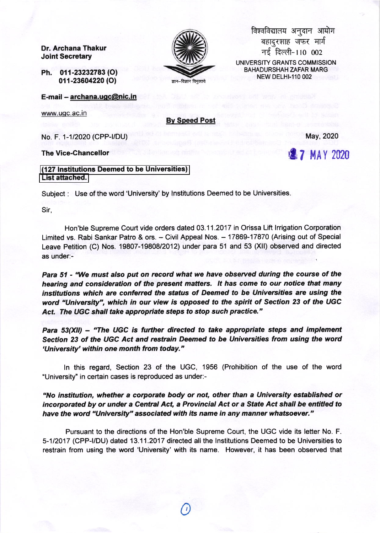Dr. Archana Thakur **Joint Secretary** 

Ph. 011-23232783 (O) 011-23604220 (O)

E-mail - archana.ugc@nic.in

www.ugc.ac.in

**By Speed Post** 

No. F. 1-1/2020 (CPP-I/DU)

**The Vice-Chancellor** 

(127 Institutions Deemed to be Universities) List attached.

Subject: Use of the word 'University' by Institutions Deemed to be Universities.

Sir.

Hon'ble Supreme Court vide orders dated 03.11.2017 in Orissa Lift Irrigation Corporation Limited vs. Rabi Sankar Patro & ors. - Civil Appeal Nos. - 17869-17870 (Arising out of Special Leave Petition (C) Nos. 19807-19808/2012) under para 51 and 53 (XII) observed and directed as under:-

Para 51 - "We must also put on record what we have observed during the course of the hearing and consideration of the present matters. It has come to our notice that many institutions which are conferred the status of Deemed to be Universities are using the word "University", which in our view is opposed to the spirit of Section 23 of the UGC Act. The UGC shall take appropriate steps to stop such practice."

Para 53(XII) - "The UGC is further directed to take appropriate steps and implement Section 23 of the UGC Act and restrain Deemed to be Universities from using the word 'University' within one month from today."

In this regard, Section 23 of the UGC, 1956 (Prohibition of the use of the word "University" in certain cases is reproduced as under:-

"No institution, whether a corporate body or not, other than a University established or incorporated by or under a Central Act, a Provincial Act or a State Act shall be entitled to have the word "University" associated with its name in any manner whatsoever."

Pursuant to the directions of the Hon'ble Supreme Court, the UGC vide its letter No. F. 5-1/2017 (CPP-I/DU) dated 13.11.2017 directed all the Institutions Deemed to be Universities to restrain from using the word 'University' with its name. However, it has been observed that



विश्वविद्यालय अनुदान आयोग बहादुरशाह जफर मार्ग नई दिल्ली-110 002 UNIVERSITY GRANTS COMMISSION **BAHADURSHAH ZAFAR MARG NEW DELHI-110 002** 

May, 2020

**27 MAY 2020**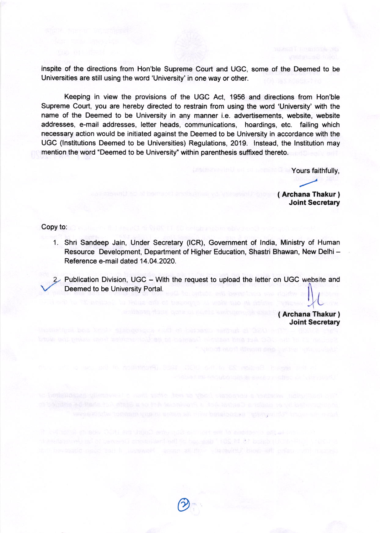inspite of the directions from Hon'ble Supreme Court and UGC, some of the Deemed to be Universities are still using the word 'University' in one way or other.

Keeping in view the provisions of the UGC Act, 1956 and directions from Hon'ble Supreme Court, you are hereby directed to restrain from using the word 'University' with the name of the Deemed to be University in any manner i.e. advertisements, website, website addresses, e-mail addresses, letter heads, communications, hoardings, etc. failing which necessary action would be initiated against the Deemed to be University in accordance with the UGC (Institutions Deemed to be Universities) Regulations, 2019. Instead, the Institution may mention the word "Deemed to be University" within parenthesis suffixed thereto.

Yours faithfully.

(Archana Thakur) **Joint Secretary** 

Copy to:

- 1. Shri Sandeep Jain, Under Secretary (ICR), Government of India, Ministry of Human Resource Development, Department of Higher Education, Shastri Bhawan, New Delhi -Reference e-mail dated 14.04.2020.
- 2 Publication Division, UGC With the request to upload the letter on UGC website and Deemed to be University Portal.

opposite and no small an intuitional construction in providing out

useriesG anomaked addite because " 109 M 37 beauto UCII-17 C 1-48

(Archana Thakur) **Joint Secretary**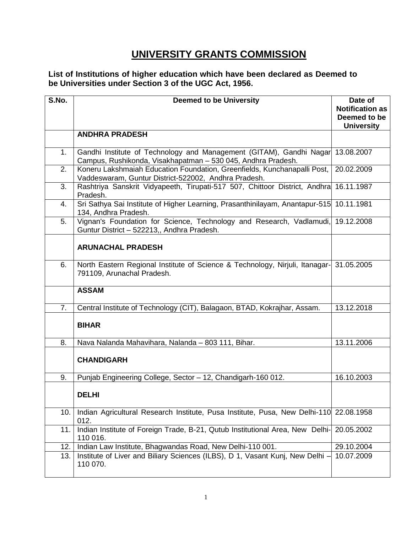## **UNIVERSITY GRANTS COMMISSION**

**List of Institutions of higher education which have been declared as Deemed to be Universities under Section 3 of the UGC Act, 1956.**

| S.No. | <b>Deemed to be University</b>                                                                                                      | Date of                |
|-------|-------------------------------------------------------------------------------------------------------------------------------------|------------------------|
|       |                                                                                                                                     | <b>Notification as</b> |
|       |                                                                                                                                     | Deemed to be           |
|       |                                                                                                                                     | <b>University</b>      |
|       | <b>ANDHRA PRADESH</b>                                                                                                               |                        |
| 1.    | Gandhi Institute of Technology and Management (GITAM), Gandhi Nagar<br>Campus, Rushikonda, Visakhapatman - 530 045, Andhra Pradesh. | 13.08.2007             |
| 2.    | Koneru Lakshmaiah Education Foundation, Greenfields, Kunchanapalli Post,<br>Vaddeswaram, Guntur District-522002, Andhra Pradesh.    | 20.02.2009             |
| 3.    | Rashtriya Sanskrit Vidyapeeth, Tirupati-517 507, Chittoor District, Andhra<br>Pradesh.                                              | 16.11.1987             |
| 4.    | Sri Sathya Sai Institute of Higher Learning, Prasanthinilayam, Anantapur-515<br>134, Andhra Pradesh.                                | 10.11.1981             |
| 5.    | Vignan's Foundation for Science, Technology and Research, Vadlamudi,<br>Guntur District - 522213,, Andhra Pradesh.                  | 19.12.2008             |
|       | <b>ARUNACHAL PRADESH</b>                                                                                                            |                        |
| 6.    | North Eastern Regional Institute of Science & Technology, Nirjuli, Itanagar-<br>791109, Arunachal Pradesh.                          | 31.05.2005             |
|       | <b>ASSAM</b>                                                                                                                        |                        |
| 7.    | Central Institute of Technology (CIT), Balagaon, BTAD, Kokrajhar, Assam.                                                            | 13.12.2018             |
|       | <b>BIHAR</b>                                                                                                                        |                        |
| 8.    | Nava Nalanda Mahavihara, Nalanda - 803 111, Bihar.                                                                                  | 13.11.2006             |
|       | <b>CHANDIGARH</b>                                                                                                                   |                        |
| 9.    | Punjab Engineering College, Sector - 12, Chandigarh-160 012.                                                                        | 16.10.2003             |
|       | DELHI                                                                                                                               |                        |
| 10.   | Indian Agricultural Research Institute, Pusa Institute, Pusa, New Delhi-110 22.08.1958<br>012.                                      |                        |
| 11.   | Indian Institute of Foreign Trade, B-21, Qutub Institutional Area, New Delhi-<br>110 016.                                           | 20.05.2002             |
| 12.   | Indian Law Institute, Bhagwandas Road, New Delhi-110 001.                                                                           | 29.10.2004             |
| 13.   | Institute of Liver and Biliary Sciences (ILBS), D 1, Vasant Kunj, New Delhi -<br>110 070.                                           | 10.07.2009             |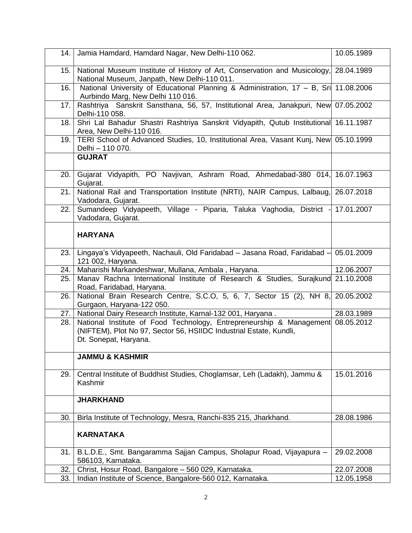| 14.  | Jamia Hamdard, Hamdard Nagar, New Delhi-110 062.                                                                                                                               | 10.05.1989 |
|------|--------------------------------------------------------------------------------------------------------------------------------------------------------------------------------|------------|
| 15.  | National Museum Institute of History of Art, Conservation and Musicology, 28.04.1989<br>National Museum, Janpath, New Delhi-110 011.                                           |            |
| 16.  | National University of Educational Planning & Administration, 17 - B, Sri 11.08.2006<br>Aurbindo Marg, New Delhi 110 016.                                                      |            |
| 17.  | Rashtriya Sanskrit Sansthana, 56, 57, Institutional Area, Janakpuri, New 07.05.2002<br>Delhi-110 058.                                                                          |            |
| 18.  | Shri Lal Bahadur Shastri Rashtriya Sanskrit Vidyapith, Qutub Institutional 16.11.1987<br>Area, New Delhi-110 016.                                                              |            |
| 19.  | TERI School of Advanced Studies, 10, Institutional Area, Vasant Kunj, New 05.10.1999<br>Delhi - 110 070.                                                                       |            |
|      | <b>GUJRAT</b>                                                                                                                                                                  |            |
| 20.  | Gujarat Vidyapith, PO Navjivan, Ashram Road, Ahmedabad-380 014, 16.07.1963<br>Gujarat.                                                                                         |            |
| 21.  | National Rail and Transportation Institute (NRTI), NAIR Campus, Lalbaug, 26.07.2018<br>Vadodara, Gujarat.                                                                      |            |
| 22.  | Sumandeep Vidyapeeth, Village - Piparia, Taluka Vaghodia, District -<br>Vadodara, Gujarat.                                                                                     | 17.01.2007 |
|      | <b>HARYANA</b>                                                                                                                                                                 |            |
| 23.1 | Lingaya's Vidyapeeth, Nachauli, Old Faridabad - Jasana Road, Faridabad -<br>121 002, Haryana.                                                                                  | 05.01.2009 |
| 24.  | Maharishi Markandeshwar, Mullana, Ambala, Haryana.                                                                                                                             | 12.06.2007 |
| 25.  | Manav Rachna International Institute of Research & Studies, Surajkund 21.10.2008<br>Road, Faridabad, Haryana.                                                                  |            |
| 26.  | National Brain Research Centre, S.C.O, 5, 6, 7, Sector 15 (2), NH 8, 20.05.2002<br>Gurgaon, Haryana-122 050.                                                                   |            |
| 27.  | National Dairy Research Institute, Karnal-132 001, Haryana.                                                                                                                    | 28.03.1989 |
| 28.  | National Institute of Food Technology, Entrepreneurship & Management 08.05.2012<br>(NIFTEM), Plot No 97, Sector 56, HSIIDC Industrial Estate, Kundli,<br>Dt. Sonepat, Haryana. |            |
|      | <b>JAMMU &amp; KASHMIR</b>                                                                                                                                                     |            |
| 29.  | Central Institute of Buddhist Studies, Choglamsar, Leh (Ladakh), Jammu &<br>Kashmir                                                                                            | 15.01.2016 |
|      | <b>JHARKHAND</b>                                                                                                                                                               |            |
| 30.  | Birla Institute of Technology, Mesra, Ranchi-835 215, Jharkhand.                                                                                                               | 28.08.1986 |
|      | <b>KARNATAKA</b>                                                                                                                                                               |            |
| 31.  | B.L.D.E., Smt. Bangaramma Sajjan Campus, Sholapur Road, Vijayapura -<br>586103, Karnataka.                                                                                     | 29.02.2008 |
| 32.  | Christ, Hosur Road, Bangalore - 560 029, Karnataka.                                                                                                                            | 22.07.2008 |
| 33.  | Indian Institute of Science, Bangalore-560 012, Karnataka.                                                                                                                     | 12.05.1958 |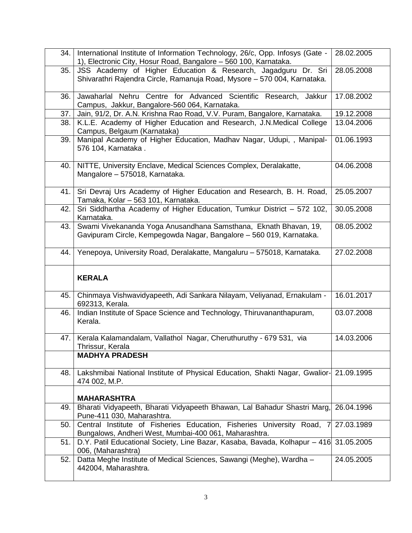| 34.1 | International Institute of Information Technology, 26/c, Opp. Infosys (Gate -<br>1), Electronic City, Hosur Road, Bangalore - 560 100, Karnataka.         | 28.02.2005 |
|------|-----------------------------------------------------------------------------------------------------------------------------------------------------------|------------|
| 35.  | JSS Academy of Higher Education & Research, Jagadguru Dr. Sri<br>Shivarathri Rajendra Circle, Ramanuja Road, Mysore - 570 004, Karnataka.                 | 28.05.2008 |
| 36.  | Jawaharlal Nehru Centre for Advanced Scientific Research, Jakkur<br>Campus, Jakkur, Bangalore-560 064, Karnataka.                                         | 17.08.2002 |
| 37.  | Jain, 91/2, Dr. A.N. Krishna Rao Road, V.V. Puram, Bangalore, Karnataka.                                                                                  | 19.12.2008 |
| 38.  | K.L.E. Academy of Higher Education and Research, J.N.Medical College<br>Campus, Belgaum (Karnataka)                                                       | 13.04.2006 |
| 39.  | Manipal Academy of Higher Education, Madhav Nagar, Udupi, , Manipal-<br>576 104, Karnataka.                                                               | 01.06.1993 |
| 40.  | NITTE, University Enclave, Medical Sciences Complex, Deralakatte,<br>Mangalore - 575018, Karnataka.                                                       | 04.06.2008 |
| 41.  | Sri Devraj Urs Academy of Higher Education and Research, B. H. Road,<br>Tamaka, Kolar - 563 101, Karnataka.                                               | 25.05.2007 |
| 42.  | Sri Siddhartha Academy of Higher Education, Tumkur District - 572 102,<br>Karnataka.                                                                      | 30.05.2008 |
| 43.  | Swami Vivekananda Yoga Anusandhana Samsthana, Eknath Bhavan, 19,<br>Gavipuram Circle, Kempegowda Nagar, Bangalore - 560 019, Karnataka.                   | 08.05.2002 |
| 44.  | Yenepoya, University Road, Deralakatte, Mangaluru - 575018, Karnataka.                                                                                    | 27.02.2008 |
|      | <b>KERALA</b>                                                                                                                                             |            |
| 45.  | Chinmaya Vishwavidyapeeth, Adi Sankara Nilayam, Veliyanad, Ernakulam -<br>692313, Kerala.                                                                 | 16.01.2017 |
| 46.  | Indian Institute of Space Science and Technology, Thiruvananthapuram,<br>Kerala.                                                                          | 03.07.2008 |
|      |                                                                                                                                                           |            |
| 47.  | Kerala Kalamandalam, Vallathol Nagar, Cheruthuruthy - 679 531, via<br>Thrissur, Kerala                                                                    | 14.03.2006 |
|      | <b>MADHYA PRADESH</b>                                                                                                                                     |            |
| 48.  | Lakshmibai National Institute of Physical Education, Shakti Nagar, Gwalior- 21.09.1995<br>474 002, M.P.                                                   |            |
|      | <b>MAHARASHTRA</b>                                                                                                                                        |            |
| 49.  | Bharati Vidyapeeth, Bharati Vidyapeeth Bhawan, Lal Bahadur Shastri Marg,<br>Pune-411 030, Maharashtra.                                                    | 26.04.1996 |
| 50.  | Central Institute of Fisheries Education, Fisheries University Road, 7                                                                                    | 27.03.1989 |
| 51.  | Bungalows, Andheri West, Mumbai-400 061, Maharashtra.<br>D.Y. Patil Educational Society, Line Bazar, Kasaba, Bavada, Kolhapur - 416<br>006, (Maharashtra) | 31.05.2005 |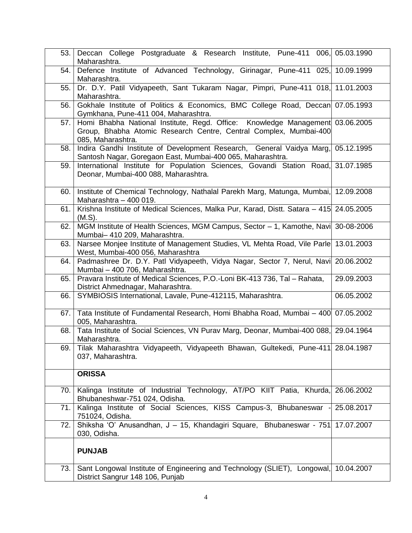| 53.  | Deccan College Postgraduate & Research Institute, Pune-411 006, 05.03.1990<br>Maharashtra.                                                                              |            |
|------|-------------------------------------------------------------------------------------------------------------------------------------------------------------------------|------------|
| 54.  | Defence Institute of Advanced Technology, Girinagar, Pune-411 025, 10.09.1999<br>Maharashtra.                                                                           |            |
| 55.  | Dr. D.Y. Patil Vidyapeeth, Sant Tukaram Nagar, Pimpri, Pune-411 018, 11.01.2003<br>Maharashtra.                                                                         |            |
| 56.  | Gokhale Institute of Politics & Economics, BMC College Road, Deccan 07.05.1993<br>Gymkhana, Pune-411 004, Maharashtra.                                                  |            |
| 57.1 | Homi Bhabha National Institute, Regd. Office: Knowledge Management 03.06.2005<br>Group, Bhabha Atomic Research Centre, Central Complex, Mumbai-400<br>085, Maharashtra. |            |
| 58.  | Indira Gandhi Institute of Development Research, General Vaidya Marg, 05.12.1995<br>Santosh Nagar, Goregaon East, Mumbai-400 065, Maharashtra.                          |            |
| 59.  | International Institute for Population Sciences, Govandi Station Road, 31.07.1985<br>Deonar, Mumbai-400 088, Maharashtra.                                               |            |
| 60.  | Institute of Chemical Technology, Nathalal Parekh Marg, Matunga, Mumbai, 12.09.2008<br>Maharashtra - 400 019.                                                           |            |
| 61.  | Krishna Institute of Medical Sciences, Malka Pur, Karad, Distt. Satara - 415 24.05.2005<br>(M.S).                                                                       |            |
| 62.  | MGM Institute of Health Sciences, MGM Campus, Sector - 1, Kamothe, Navi 30-08-2006<br>Mumbai-410 209, Maharashtra.                                                      |            |
| 63.  | Narsee Monjee Institute of Management Studies, VL Mehta Road, Vile Parle 13.01.2003<br>West, Mumbai-400 056, Maharashtra                                                |            |
| 64.  | Padmashree Dr. D.Y. Patl Vidyapeeth, Vidya Nagar, Sector 7, Nerul, Navi 20.06.2002<br>Mumbai - 400 706, Maharashtra.                                                    |            |
| 65.  | Pravara Institute of Medical Sciences, P.O.-Loni BK-413 736, Tal - Rahata,<br>District Ahmednagar, Maharashtra.                                                         | 29.09.2003 |
| 66.  | SYMBIOSIS International, Lavale, Pune-412115, Maharashtra.                                                                                                              | 06.05.2002 |
| 67.  | Tata Institute of Fundamental Research, Homi Bhabha Road, Mumbai - 400 07.05.2002<br>005, Maharashtra.                                                                  |            |
| 68.  | Tata Institute of Social Sciences, VN Purav Marg, Deonar, Mumbai-400 088, 29.04.1964<br>Maharashtra.                                                                    |            |
|      | 69. Tilak Maharashtra Vidyapeeth, Vidyapeeth Bhawan, Gultekedi, Pune-411 28.04.1987<br>037, Maharashtra.                                                                |            |
|      | <b>ORISSA</b>                                                                                                                                                           |            |
| 70.  | Kalinga Institute of Industrial Technology, AT/PO KIIT Patia, Khurda, 26.06.2002<br>Bhubaneshwar-751 024, Odisha.                                                       |            |
| 71.  | Kalinga Institute of Social Sciences, KISS Campus-3, Bhubaneswar<br>751024, Odisha.                                                                                     | 25.08.2017 |
| 72.  | Shiksha 'O' Anusandhan, J - 15, Khandagiri Square, Bhubaneswar - 751<br>030, Odisha.                                                                                    | 17.07.2007 |
|      | <b>PUNJAB</b>                                                                                                                                                           |            |
| 73.  | Sant Longowal Institute of Engineering and Technology (SLIET), Longowal, 10.04.2007<br>District Sangrur 148 106, Punjab                                                 |            |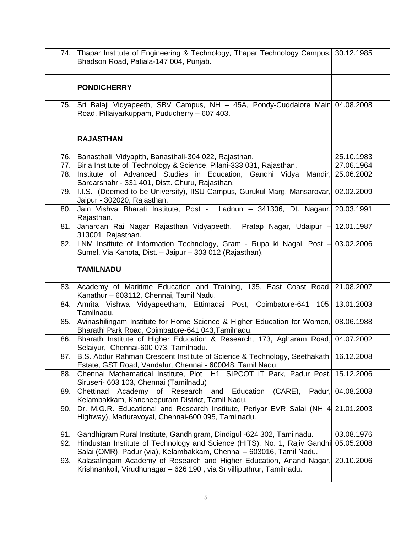| 74.1 | Thapar Institute of Engineering & Technology, Thapar Technology Campus, 30.12.1985<br>Bhadson Road, Patiala-147 004, Punjab.                      |            |
|------|---------------------------------------------------------------------------------------------------------------------------------------------------|------------|
|      | <b>PONDICHERRY</b>                                                                                                                                |            |
| 75.  | Sri Balaji Vidyapeeth, SBV Campus, NH - 45A, Pondy-Cuddalore Main 04.08.2008<br>Road, Pillaiyarkuppam, Puducherry - 607 403.                      |            |
|      | <b>RAJASTHAN</b>                                                                                                                                  |            |
| 76.  | Banasthali Vidyapith, Banasthali-304 022, Rajasthan.                                                                                              | 25.10.1983 |
| 77.1 | Birla Institute of Technology & Science, Pilani-333 031, Rajasthan.                                                                               | 27.06.1964 |
| 78.  | Institute of Advanced Studies in Education, Gandhi Vidya Mandir,<br>Sardarshahr - 331 401, Distt. Churu, Rajasthan.                               | 25.06.2002 |
| 79.  | I.I.S. (Deemed to be University), IISU Campus, Gurukul Marg, Mansarovar,<br>Jaipur - 302020, Rajasthan.                                           | 02.02.2009 |
| 80.  | Jain Vishva Bharati Institute, Post - Ladnun - 341306, Dt. Nagaur,<br>Rajasthan.                                                                  | 20.03.1991 |
| 81.  | Janardan Rai Nagar Rajasthan Vidyapeeth, Pratap Nagar, Udaipur - 12.01.1987<br>313001, Rajasthan.                                                 |            |
| 82.  | LNM Institute of Information Technology, Gram - Rupa ki Nagal, Post $-$ 03.02.2006<br>Sumel, Via Kanota, Dist. - Jaipur - 303 012 (Rajasthan).    |            |
|      | <b>TAMILNADU</b>                                                                                                                                  |            |
| 83.  | Academy of Maritime Education and Training, 135, East Coast Road, 21.08.2007<br>Kanathur - 603112, Chennai, Tamil Nadu.                           |            |
| 84.  | Amrita Vishwa Vidyapeetham, Ettimadai Post, Coimbatore-641 105, 13.01.2003<br>Tamilnadu.                                                          |            |
| 85.  | Avinashilingam Institute for Home Science & Higher Education for Women, 08.06.1988<br>Bharathi Park Road, Coimbatore-641 043, Tamilnadu.          |            |
| 86.  | Bharath Institute of Higher Education & Research, 173, Agharam Road, 04.07.2002<br>Selaiyur, Chennai-600 073, Tamilnadu.                          |            |
| 87.  | B.S. Abdur Rahman Crescent Institute of Science & Technology, Seethakathi 16.12.2008<br>Estate, GST Road, Vandalur, Chennai - 600048, Tamil Nadu. |            |
| 88.  | Chennai Mathematical Institute, Plot H1, SIPCOT IT Park, Padur Post, 15.12.2006<br>Siruseri- 603 103, Chennai (Tamilnadu)                         |            |
| 89.  | Academy of Research and Education<br>(CARE), Padur,<br>Chettinad<br>Kelambakkam, Kancheepuram District, Tamil Nadu.                               | 04.08.2008 |
| 90.  | Dr. M.G.R. Educational and Research Institute, Periyar EVR Salai (NH 4 21.01.2003<br>Highway), Maduravoyal, Chennai-600 095, Tamilnadu.           |            |
| 91.  | Gandhigram Rural Institute, Gandhigram, Dindigul -624 302, Tamilnadu.                                                                             | 03.08.1976 |
| 92.  | Hindustan Institute of Technology and Science (HITS), No. 1, Rajiv Gandhi<br>Salai (OMR), Padur (via), Kelambakkam, Chennai - 603016, Tamil Nadu. | 05.05.2008 |
| 93.  | Kalasalingam Academy of Research and Higher Education, Anand Nagar,<br>Krishnankoil, Virudhunagar - 626 190, via Srivilliputhrur, Tamilnadu.      | 20.10.2006 |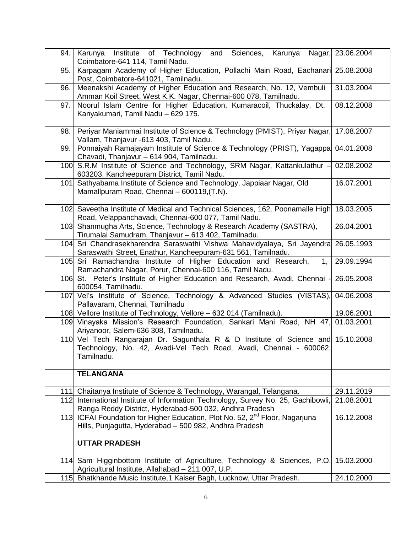| 94. | Karunya Institute of Technology<br>and Sciences, Karunya Nagar, 23.06.2004<br>Coimbatore-641 114, Tamil Nadu.                                                       |            |
|-----|---------------------------------------------------------------------------------------------------------------------------------------------------------------------|------------|
| 95. | Karpagam Academy of Higher Education, Pollachi Main Road, Eachanari 25.08.2008<br>Post, Coimbatore-641021, Tamilnadu.                                               |            |
| 96. | Meenakshi Academy of Higher Education and Research, No. 12, Vembuli<br>Amman Koil Street, West K.K. Nagar, Chennai-600 078, Tamilnadu.                              | 31.03.2004 |
| 97. | Noorul Islam Centre for Higher Education, Kumaracoil, Thuckalay, Dt.<br>Kanyakumari, Tamil Nadu - 629 175.                                                          | 08.12.2008 |
| 98. | Periyar Maniammai Institute of Science & Technology (PMIST), Priyar Nagar, 17.08.2007<br>Vallam, Thanjavur -613 403, Tamil Nadu.                                    |            |
| 99. | Ponnaiyah Ramajayam Institute of Science & Technology (PRIST), Yagappa<br>Chavadi, Thanjavur - 614 904, Tamilnadu.                                                  | 04.01.2008 |
|     | 100 S.R.M Institute of Science and Technology, SRM Nagar, Kattankulathur -<br>603203, Kancheepuram District, Tamil Nadu.                                            | 02.08.2002 |
| 101 | Sathyabama Institute of Science and Technology, Jappiaar Nagar, Old<br>Mamallpuram Road, Chennai - 600119, (T.N).                                                   | 16.07.2001 |
|     | 102 Saveetha Institute of Medical and Technical Sciences, 162, Poonamalle High<br>Road, Velappanchavadi, Chennai-600 077, Tamil Nadu.                               | 18.03.2005 |
|     | 103 Shanmugha Arts, Science, Technology & Research Academy (SASTRA),<br>Tirumalai Samudram, Thanjavur - 613 402, Tamilnadu.                                         | 26.04.2001 |
|     | 104 Sri Chandrasekharendra Saraswathi Vishwa Mahavidyalaya, Sri Jayendra 26.05.1993<br>Saraswathi Street, Enathur, Kancheepuram-631 561, Tamilnadu.                 |            |
|     | 105 Sri Ramachandra Institute of Higher Education and Research,<br>1.<br>Ramachandra Nagar, Porur, Chennai-600 116, Tamil Nadu.                                     | 29.09.1994 |
|     | 106 St. Peter's Institute of Higher Education and Research, Avadi, Chennai -<br>600054, Tamilnadu.                                                                  | 26.05.2008 |
|     | 107 Vel's Institute of Science, Technology & Advanced Studies (VISTAS), 04.06.2008<br>Pallavaram, Chennai, Tamilnadu                                                |            |
|     | 108 Vellore Institute of Technology, Vellore - 632 014 (Tamilnadu).                                                                                                 | 19.06.2001 |
|     | 109 Vinayaka Mission's Research Foundation, Sankari Mani Road, NH 47, 01.03.2001<br>Ariyanoor, Salem-636 308, Tamilnadu.                                            |            |
|     | 110 Vel Tech Rangarajan Dr. Sagunthala R & D Institute of Science and 15.10.2008<br>Technology, No. 42, Avadi-Vel Tech Road, Avadi, Chennai - 600062,<br>Tamilnadu. |            |
|     | <b>TELANGANA</b>                                                                                                                                                    |            |
|     | 111 Chaitanya Institute of Science & Technology, Warangal, Telangana.                                                                                               | 29.11.2019 |
|     | 112 International Institute of Information Technology, Survey No. 25, Gachibowli,<br>Ranga Reddy District, Hyderabad-500 032, Andhra Pradesh                        | 21.08.2001 |
|     | 113 ICFAI Foundation for Higher Education, Plot No. 52, 2 <sup>nd</sup> Floor, Nagarjuna<br>Hills, Punjagutta, Hyderabad - 500 982, Andhra Pradesh                  | 16.12.2008 |
|     | <b>UTTAR PRADESH</b>                                                                                                                                                |            |
|     | 114 Sam Higginbottom Institute of Agriculture, Technology & Sciences, P.O.<br>Agricultural Institute, Allahabad - 211 007, U.P.                                     | 15.03.2000 |
|     | 115 Bhatkhande Music Institute, 1 Kaiser Bagh, Lucknow, Uttar Pradesh.                                                                                              | 24.10.2000 |